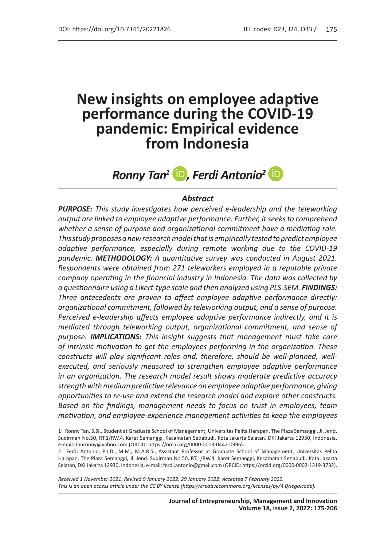# **New insights on employee adaptive performance during the COVID-19 pandemic: Empirical evidence from Indonesia**

# **Ronny Tan<sup>1</sup> D**, Ferdi Antonio<sup>2</sup> **D**

### *Abstract*

*PURPOSE: This study investigates how perceived e-leadership and the teleworking output are linked to employee adaptive performance. Further, it seeks to comprehend whether a sense of purpose and organizational commitment have a mediating role. This study proposes anew research model that is empirically tested to predict employee adaptive performance, especially during remote working due to the COVID-19 pandemic. METHODOLOGY: A quantitative survey was conducted in August 2021. Respondents were obtained from 271 teleworkers employed in a reputable private company operating in the financial industry in Indonesia. The data was collected by a questionnaire using a Likert-type scale and then analyzed using PLS-SEM. FINDINGS: Three antecedents are proven to affect employee adaptive performance directly: organizational commitment, followed by teleworking output, and a sense of purpose. Perceived e-leadership affects employee adaptive performance indirectly, and it is mediated through teleworking output, organizational commitment, and sense of purpose. IMPLICATIONS: This insight suggests that management must take care of intrinsic motivation to get the employees performing in the organization. These constructs will play significant roles and, therefore, should be well-planned, wellexecuted, and seriously measured to strengthen employee adaptive performance in an organization. The research model result shows moderate predictive accuracy strength with medium predictive relevance on employee adaptive performance, giving opportunities to re-use and extend the research model and explore other constructs. Based on the findings, management needs to focus on trust in employees, team motivation, and employee-experience management activities to keep the employees* 

*Received 1 November 2021; Revised 9 January 2022, 29 January 2022; Accepted 7 February 2022. This is an open access article under the CC BY license (https://creativecommons.org/licenses/by/4.0/legalcode).*

<sup>1</sup> Ronny Tan, S.Si., Student at Graduate School of Management, Universitas Pelita Harapan, The Plaza Semanggi, Jl. Jend. Sudirman No.50, RT.1/RW.4, Karet Semanggi, Kecamatan Setiabudi, Kota Jakarta Selatan, DKI Jakarta 12930, Indonesia, e-mail: tanronny@yahoo.com (ORCID: https://orcid.org/0000-0003-0442-0996).

<sup>2</sup> Ferdi Antonio, Ph.D., M.M., M.A.R.S., Assistant Professor at Graduate School of Management, Universitas Pelita Harapan, The Plaza Semanggi, Jl. Jend. Sudirman No.50, RT.1/RW.4, Karet Semanggi, Kecamatan Setiabudi, Kota Jakarta Selatan, DKI Jakarta 12930, Indonesia, e-mail: ferdi.antonio@gmail.com (ORCID: https://orcid.org/0000-0002-1319-3732).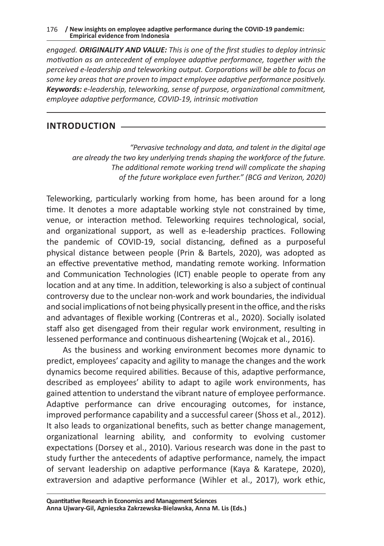*engaged. ORIGINALITY AND VALUE: This is one of the first studies to deploy intrinsic motivation as an antecedent of employee adaptive performance, together with the perceived e-leadership and teleworking output. Corporations will be able to focus on some key areas that are proven to impact employee adaptive performance positively. Keywords: e-leadership, teleworking, sense of purpose, organizational commitment, employee adaptive performance, COVID-19, intrinsic motivation*

# **INTRODUCTION**

*"Pervasive technology and data, and talent in the digital age are already the two key underlying trends shaping the workforce of the future. The additional remote working trend will complicate the shaping of the future workplace even further." (BCG and Verizon, 2020)*

Teleworking, particularly working from home, has been around for a long time. It denotes a more adaptable working style not constrained by time, venue, or interaction method. Teleworking requires technological, social, and organizational support, as well as e-leadership practices. Following the pandemic of COVID-19, social distancing, defined as a purposeful physical distance between people (Prin & Bartels, 2020), was adopted as an effective preventative method, mandating remote working. Information and Communication Technologies (ICT) enable people to operate from any location and at any time. In addition, teleworking is also a subject of continual controversy due to the unclear non-work and work boundaries, the individual and social implications of not being physically present in the office, and the risks and advantages of flexible working (Contreras et al., 2020). Socially isolated staff also get disengaged from their regular work environment, resulting in lessened performance and continuous disheartening (Wojcak et al., 2016).

As the business and working environment becomes more dynamic to predict, employees' capacity and agility to manage the changes and the work dynamics become required abilities. Because of this, adaptive performance, described as employees' ability to adapt to agile work environments, has gained attention to understand the vibrant nature of employee performance. Adaptive performance can drive encouraging outcomes, for instance, improved performance capability and a successful career (Shoss et al., 2012). It also leads to organizational benefits, such as better change management, organizational learning ability, and conformity to evolving customer expectations (Dorsey et al., 2010). Various research was done in the past to study further the antecedents of adaptive performance, namely, the impact of servant leadership on adaptive performance (Kaya & Karatepe, 2020), extraversion and adaptive performance (Wihler et al., 2017), work ethic,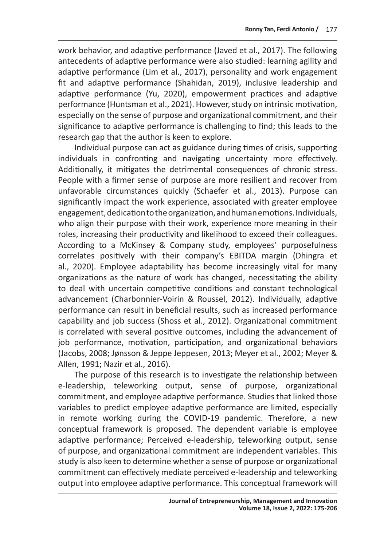work behavior, and adaptive performance (Javed et al., 2017). The following antecedents of adaptive performance were also studied: learning agility and adaptive performance (Lim et al., 2017), personality and work engagement fit and adaptive performance (Shahidan, 2019), inclusive leadership and adaptive performance (Yu, 2020), empowerment practices and adaptive performance (Huntsman et al., 2021). However, study on intrinsic motivation, especially on the sense of purpose and organizational commitment, and their significance to adaptive performance is challenging to find; this leads to the research gap that the author is keen to explore.

Individual purpose can act as guidance during times of crisis, supporting individuals in confronting and navigating uncertainty more effectively. Additionally, it mitigates the detrimental consequences of chronic stress. People with a firmer sense of purpose are more resilient and recover from unfavorable circumstances quickly (Schaefer et al., 2013). Purpose can significantly impact the work experience, associated with greater employee engagement, dedication to the organization, and human emotions. Individuals, who align their purpose with their work, experience more meaning in their roles, increasing their productivity and likelihood to exceed their colleagues. According to a McKinsey & Company study, employees' purposefulness correlates positively with their company's EBITDA margin (Dhingra et al., 2020). Employee adaptability has become increasingly vital for many organizations as the nature of work has changed, necessitating the ability to deal with uncertain competitive conditions and constant technological advancement (Charbonnier-Voirin & Roussel, 2012). Individually, adaptive performance can result in beneficial results, such as increased performance capability and job success (Shoss et al., 2012). Organizational commitment is correlated with several positive outcomes, including the advancement of job performance, motivation, participation, and organizational behaviors (Jacobs, 2008; Jønsson & Jeppe Jeppesen, 2013; Meyer et al., 2002; Meyer & Allen, 1991; Nazir et al., 2016).

The purpose of this research is to investigate the relationship between e-leadership, teleworking output, sense of purpose, organizational commitment, and employee adaptive performance. Studies that linked those variables to predict employee adaptive performance are limited, especially in remote working during the COVID-19 pandemic. Therefore, a new conceptual framework is proposed. The dependent variable is employee adaptive performance; Perceived e-leadership, teleworking output, sense of purpose, and organizational commitment are independent variables. This study is also keen to determine whether a sense of purpose or organizational commitment can effectively mediate perceived e-leadership and teleworking output into employee adaptive performance. This conceptual framework will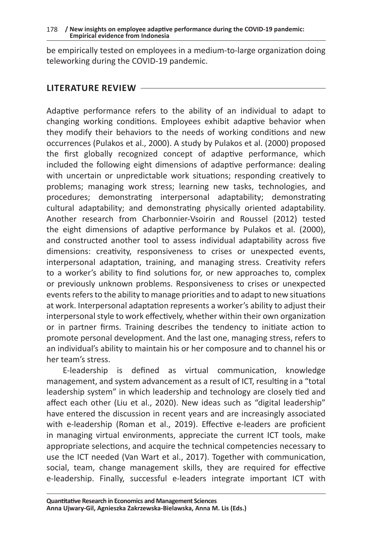be empirically tested on employees in a medium-to-large organization doing teleworking during the COVID-19 pandemic.

### **LITERATURE REVIEW**

Adaptive performance refers to the ability of an individual to adapt to changing working conditions. Employees exhibit adaptive behavior when they modify their behaviors to the needs of working conditions and new occurrences (Pulakos et al., 2000). A study by Pulakos et al. (2000) proposed the first globally recognized concept of adaptive performance, which included the following eight dimensions of adaptive performance: dealing with uncertain or unpredictable work situations; responding creatively to problems; managing work stress; learning new tasks, technologies, and procedures; demonstrating interpersonal adaptability; demonstrating cultural adaptability; and demonstrating physically oriented adaptability. Another research from Charbonnier-Vsoirin and Roussel (2012) tested the eight dimensions of adaptive performance by Pulakos et al. (2000), and constructed another tool to assess individual adaptability across five dimensions: creativity, responsiveness to crises or unexpected events, interpersonal adaptation, training, and managing stress. Creativity refers to a worker's ability to find solutions for, or new approaches to, complex or previously unknown problems. Responsiveness to crises or unexpected events refers to the ability to manage priorities and to adapt to new situations at work. Interpersonal adaptation represents a worker's ability to adjust their interpersonal style to work effectively, whether within their own organization or in partner firms. Training describes the tendency to initiate action to promote personal development. And the last one, managing stress, refers to an individual's ability to maintain his or her composure and to channel his or her team's stress.

E-leadership is defined as virtual communication, knowledge management, and system advancement as a result of ICT, resulting in a "total leadership system" in which leadership and technology are closely tied and affect each other (Liu et al., 2020). New ideas such as "digital leadership" have entered the discussion in recent years and are increasingly associated with e-leadership (Roman et al., 2019). Effective e-leaders are proficient in managing virtual environments, appreciate the current ICT tools, make appropriate selections, and acquire the technical competencies necessary to use the ICT needed (Van Wart et al., 2017). Together with communication, social, team, change management skills, they are required for effective e-leadership. Finally, successful e-leaders integrate important ICT with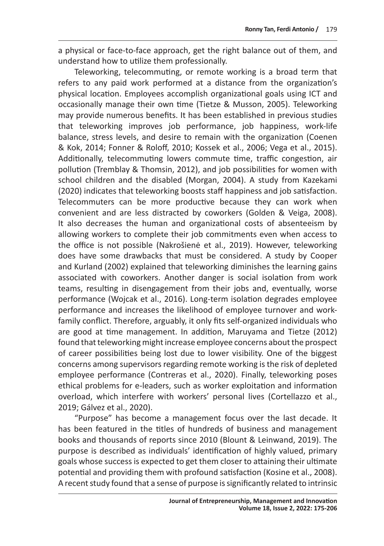a physical or face-to-face approach, get the right balance out of them, and understand how to utilize them professionally.

Teleworking, telecommuting, or remote working is a broad term that refers to any paid work performed at a distance from the organization's physical location. Employees accomplish organizational goals using ICT and occasionally manage their own time (Tietze & Musson, 2005). Teleworking may provide numerous benefits. It has been established in previous studies that teleworking improves job performance, job happiness, work-life balance, stress levels, and desire to remain with the organization (Coenen & Kok, 2014; Fonner & Roloff, 2010; Kossek et al., 2006; Vega et al., 2015). Additionally, telecommuting lowers commute time, traffic congestion, air pollution (Tremblay & Thomsin, 2012), and job possibilities for women with school children and the disabled (Morgan, 2004). A study from Kazekami (2020) indicates that teleworking boosts staff happiness and job satisfaction. Telecommuters can be more productive because they can work when convenient and are less distracted by coworkers (Golden & Veiga, 2008). It also decreases the human and organizational costs of absenteeism by allowing workers to complete their job commitments even when access to the office is not possible (Nakrošienė et al., 2019). However, teleworking does have some drawbacks that must be considered. A study by Cooper and Kurland (2002) explained that teleworking diminishes the learning gains associated with coworkers. Another danger is social isolation from work teams, resulting in disengagement from their jobs and, eventually, worse performance (Wojcak et al., 2016). Long-term isolation degrades employee performance and increases the likelihood of employee turnover and workfamily conflict. Therefore, arguably, it only fits self-organized individuals who are good at time management. In addition, Maruyama and Tietze (2012) found that teleworking might increase employee concerns about the prospect of career possibilities being lost due to lower visibility. One of the biggest concerns among supervisors regarding remote working is the risk of depleted employee performance (Contreras et al., 2020). Finally, teleworking poses ethical problems for e-leaders, such as worker exploitation and information overload, which interfere with workers' personal lives (Cortellazzo et al., 2019; Gálvez et al., 2020).

"Purpose" has become a management focus over the last decade. It has been featured in the titles of hundreds of business and management books and thousands of reports since 2010 (Blount & Leinwand, 2019). The purpose is described as individuals' identification of highly valued, primary goals whose success is expected to get them closer to attaining their ultimate potential and providing them with profound satisfaction (Kosine et al., 2008). A recent study found that a sense of purpose is significantly related to intrinsic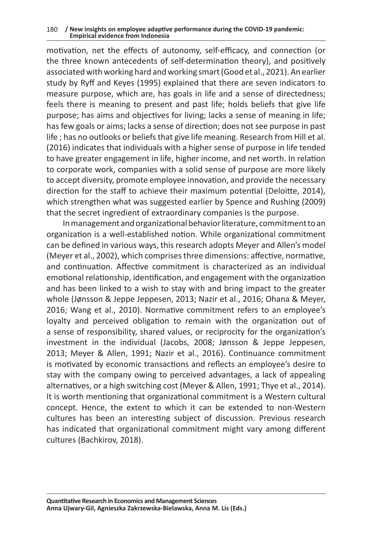#### 180 **/ New insights on employee adaptive performance during the COVID-19 pandemic: Empirical evidence from Indonesia**

motivation, net the effects of autonomy, self-efficacy, and connection (or the three known antecedents of self-determination theory), and positively associated with working hard and working smart (Good et al., 2021). An earlier study by Ryff and Keyes (1995) explained that there are seven indicators to measure purpose, which are, has goals in life and a sense of directedness; feels there is meaning to present and past life; holds beliefs that give life purpose; has aims and objectives for living; lacks a sense of meaning in life; has few goals or aims; lacks a sense of direction; does not see purpose in past life ; has no outlooks or beliefs that give life meaning. Research from Hill et al. (2016) indicates that individuals with a higher sense of purpose in life tended to have greater engagement in life, higher income, and net worth. In relation to corporate work, companies with a solid sense of purpose are more likely to accept diversity, promote employee innovation, and provide the necessary direction for the staff to achieve their maximum potential (Deloitte, 2014), which strengthen what was suggested earlier by Spence and Rushing (2009) that the secret ingredient of extraordinary companies is the purpose.

In management and organizational behavior literature, commitment to an organization is a well-established notion. While organizational commitment can be defined in various ways, this research adopts Meyer and Allen's model (Meyer et al., 2002), which comprises three dimensions: affective, normative, and continuation. Affective commitment is characterized as an individual emotional relationship, identification, and engagement with the organization and has been linked to a wish to stay with and bring impact to the greater whole (Jønsson & Jeppe Jeppesen, 2013; Nazir et al., 2016; Ohana & Meyer, 2016; Wang et al., 2010). Normative commitment refers to an employee's loyalty and perceived obligation to remain with the organization out of a sense of responsibility, shared values, or reciprocity for the organization's investment in the individual (Jacobs, 2008; Jønsson & Jeppe Jeppesen, 2013; Meyer & Allen, 1991; Nazir et al., 2016). Continuance commitment is motivated by economic transactions and reflects an employee's desire to stay with the company owing to perceived advantages, a lack of appealing alternatives, or a high switching cost (Meyer & Allen, 1991; Thye et al., 2014). It is worth mentioning that organizational commitment is a Western cultural concept. Hence, the extent to which it can be extended to non-Western cultures has been an interesting subject of discussion. Previous research has indicated that organizational commitment might vary among different cultures (Bachkirov, 2018).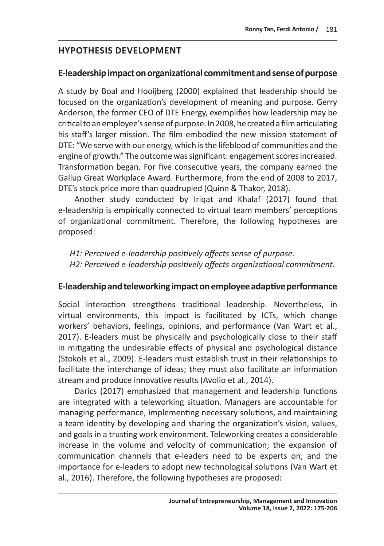# **HYPOTHESIS DEVELOPMENT**

# **E-leadership impact on organizational commitment and sense of purpose**

A study by Boal and Hooijberg (2000) explained that leadership should be focused on the organization's development of meaning and purpose. Gerry Anderson, the former CEO of DTE Energy, exemplifies how leadership may be critical to an employee's sense of purpose. In 2008, he created afilm articulating his staff's larger mission. The film embodied the new mission statement of DTE: "We serve with our energy, which is the lifeblood of communities and the engine of growth." The outcome was significant: engagement scores increased. Transformation began. For five consecutive years, the company earned the Gallup Great Workplace Award. Furthermore, from the end of 2008 to 2017, DTE's stock price more than quadrupled (Quinn & Thakor, 2018).

Another study conducted by Iriqat and Khalaf (2017) found that e-leadership is empirically connected to virtual team members' perceptions of organizational commitment. Therefore, the following hypotheses are proposed:

*H1: Perceived e-leadership positively affects sense of purpose. H2: Perceived e-leadership positively affects organizational commitment.*

# **E-leadership and teleworking impact on employee adaptive performance**

Social interaction strengthens traditional leadership. Nevertheless, in virtual environments, this impact is facilitated by ICTs, which change workers' behaviors, feelings, opinions, and performance (Van Wart et al., 2017). E-leaders must be physically and psychologically close to their staff in mitigating the undesirable effects of physical and psychological distance (Stokols et al., 2009). E-leaders must establish trust in their relationships to facilitate the interchange of ideas; they must also facilitate an information stream and produce innovative results (Avolio et al., 2014).

Darics (2017) emphasized that management and leadership functions are integrated with a teleworking situation. Managers are accountable for managing performance, implementing necessary solutions, and maintaining a team identity by developing and sharing the organization's vision, values, and goals in a trusting work environment. Teleworking creates a considerable increase in the volume and velocity of communication; the expansion of communication channels that e-leaders need to be experts on; and the importance for e-leaders to adopt new technological solutions (Van Wart et al., 2016). Therefore, the following hypotheses are proposed: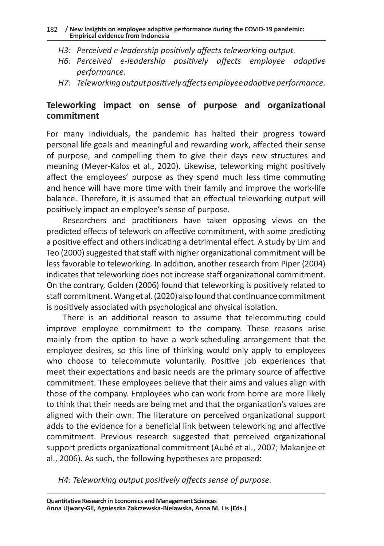#### 182 **/ New insights on employee adaptive performance during the COVID-19 pandemic: Empirical evidence from Indonesia**

- *H3: Perceived e-leadership positively affects teleworking output.*
- *H6: Perceived e-leadership positively affects employee adaptive performance.*
- *H7: Teleworking output positively affects employee adaptive performance.*

# **Teleworking impact on sense of purpose and organizational commitment**

For many individuals, the pandemic has halted their progress toward personal life goals and meaningful and rewarding work, affected their sense of purpose, and compelling them to give their days new structures and meaning (Meyer-Kalos et al., 2020). Likewise, teleworking might positively affect the employees' purpose as they spend much less time commuting and hence will have more time with their family and improve the work-life balance. Therefore, it is assumed that an effectual teleworking output will positively impact an employee's sense of purpose.

Researchers and practitioners have taken opposing views on the predicted effects of telework on affective commitment, with some predicting a positive effect and others indicating a detrimental effect. A study by Lim and Teo (2000) suggested that staff with higher organizational commitment will be less favorable to teleworking. In addition, another research from Piper (2004) indicates that teleworking does not increase staff organizational commitment. On the contrary, Golden (2006) found that teleworking is positively related to staff commitment. Wang et al. (2020) also found that continuance commitment is positively associated with psychological and physical isolation.

There is an additional reason to assume that telecommuting could improve employee commitment to the company. These reasons arise mainly from the option to have a work-scheduling arrangement that the employee desires, so this line of thinking would only apply to employees who choose to telecommute voluntarily. Positive job experiences that meet their expectations and basic needs are the primary source of affective commitment. These employees believe that their aims and values align with those of the company. Employees who can work from home are more likely to think that their needs are being met and that the organization's values are aligned with their own. The literature on perceived organizational support adds to the evidence for a beneficial link between teleworking and affective commitment. Previous research suggested that perceived organizational support predicts organizational commitment (Aubé et al., 2007; Makanjee et al., 2006). As such, the following hypotheses are proposed:

*H4: Teleworking output positively affects sense of purpose.*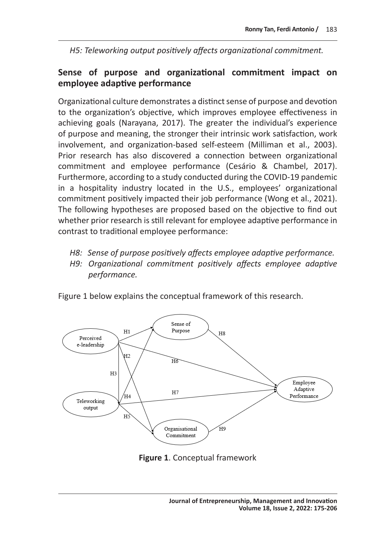*H5: Teleworking output positively affects organizational commitment.*

# **Sense of purpose and organizational commitment impact on employee adaptive performance**

Organizational culture demonstrates a distinct sense of purpose and devotion to the organization's objective, which improves employee effectiveness in achieving goals (Narayana, 2017). The greater the individual's experience of purpose and meaning, the stronger their intrinsic work satisfaction, work involvement, and organization-based self-esteem (Milliman et al., 2003). Prior research has also discovered a connection between organizational commitment and employee performance (Cesário & Chambel, 2017). Furthermore, according to a study conducted during the COVID-19 pandemic in a hospitality industry located in the U.S., employees' organizational commitment positively impacted their job performance (Wong et al., 2021). The following hypotheses are proposed based on the objective to find out whether prior research is still relevant for employee adaptive performance in contrast to traditional employee performance:

- *H8: Sense of purpose positively affects employee adaptive performance.*
- *H9: Organizational commitment positively affects employee adaptive performance.*

Figure 1 below explains the conceptual framework of this research.



**Figure 1**. Conceptual framework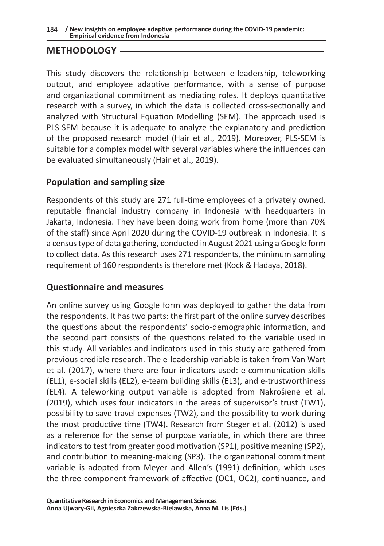#### 184 **/ New insights on employee adaptive performance during the COVID-19 pandemic: Empirical evidence from Indonesia**

# **METHODOLOGY**

This study discovers the relationship between e-leadership, teleworking output, and employee adaptive performance, with a sense of purpose and organizational commitment as mediating roles. It deploys quantitative research with a survey, in which the data is collected cross-sectionally and analyzed with Structural Equation Modelling (SEM). The approach used is PLS-SEM because it is adequate to analyze the explanatory and prediction of the proposed research model (Hair et al., 2019). Moreover, PLS-SEM is suitable for a complex model with several variables where the influences can be evaluated simultaneously (Hair et al., 2019).

# **Population and sampling size**

Respondents of this study are 271 full-time employees of a privately owned, reputable financial industry company in Indonesia with headquarters in Jakarta, Indonesia. They have been doing work from home (more than 70% of the staff) since April 2020 during the COVID-19 outbreak in Indonesia. It is a census type of data gathering, conducted in August 2021 using a Google form to collect data. As this research uses 271 respondents, the minimum sampling requirement of 160 respondents is therefore met (Kock & Hadaya, 2018).

# **Questionnaire and measures**

An online survey using Google form was deployed to gather the data from the respondents. It has two parts: the first part of the online survey describes the questions about the respondents' socio-demographic information, and the second part consists of the questions related to the variable used in this study. All variables and indicators used in this study are gathered from previous credible research. The e-leadership variable is taken from Van Wart et al. (2017), where there are four indicators used: e-communication skills (EL1), e-social skills (EL2), e-team building skills (EL3), and e-trustworthiness (EL4). A teleworking output variable is adopted from Nakrošienė et al. (2019), which uses four indicators in the areas of supervisor's trust (TW1), possibility to save travel expenses (TW2), and the possibility to work during the most productive time (TW4). Research from Steger et al. (2012) is used as a reference for the sense of purpose variable, in which there are three indicators to test from greater good motivation (SP1), positive meaning (SP2), and contribution to meaning-making (SP3). The organizational commitment variable is adopted from Meyer and Allen's (1991) definition, which uses the three-component framework of affective (OC1, OC2), continuance, and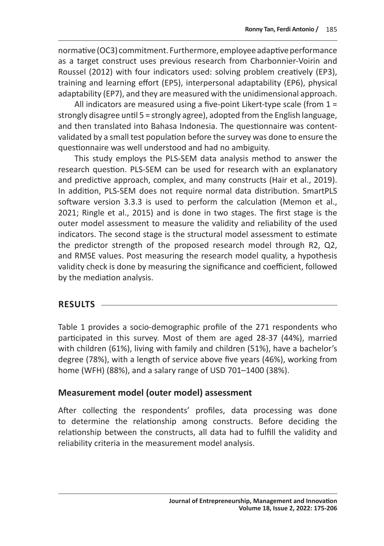normative (OC3) commitment. Furthermore, employee adaptive performance as a target construct uses previous research from Charbonnier-Voirin and Roussel (2012) with four indicators used: solving problem creatively (EP3), training and learning effort (EP5), interpersonal adaptability (EP6), physical adaptability (EP7), and they are measured with the unidimensional approach.

All indicators are measured using a five-point Likert-type scale (from 1 = strongly disagree until 5 = strongly agree), adopted from the English language, and then translated into Bahasa Indonesia. The questionnaire was contentvalidated by a small test population before the survey was done to ensure the questionnaire was well understood and had no ambiguity.

This study employs the PLS-SEM data analysis method to answer the research question. PLS-SEM can be used for research with an explanatory and predictive approach, complex, and many constructs (Hair et al., 2019). In addition, PLS-SEM does not require normal data distribution. SmartPLS software version 3.3.3 is used to perform the calculation (Memon et al., 2021; Ringle et al., 2015) and is done in two stages. The first stage is the outer model assessment to measure the validity and reliability of the used indicators. The second stage is the structural model assessment to estimate the predictor strength of the proposed research model through R2, Q2, and RMSE values. Post measuring the research model quality, a hypothesis validity check is done by measuring the significance and coefficient, followed by the mediation analysis.

### **RESULTS**

Table 1 provides a socio-demographic profile of the 271 respondents who participated in this survey. Most of them are aged 28-37 (44%), married with children (61%), living with family and children (51%), have a bachelor's degree (78%), with a length of service above five years (46%), working from home (WFH) (88%), and a salary range of USD 701–1400 (38%).

# **Measurement model (outer model) assessment**

After collecting the respondents' profiles, data processing was done to determine the relationship among constructs. Before deciding the relationship between the constructs, all data had to fulfill the validity and reliability criteria in the measurement model analysis.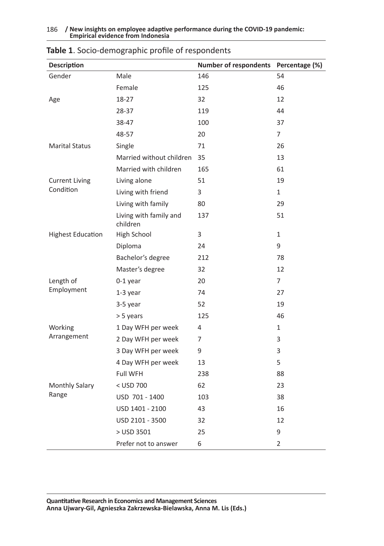#### 186 **/ New insights on employee adaptive performance during the COVID-19 pandemic: Empirical evidence from Indonesia**

| <b>Description</b>       |                                    | <b>Number of respondents</b> | Percentage (%) |
|--------------------------|------------------------------------|------------------------------|----------------|
| Gender                   | Male                               | 146                          | 54             |
|                          | Female                             | 125                          | 46             |
| Age                      | 18-27                              | 32                           | 12             |
|                          | 28-37                              | 119                          | 44             |
|                          | 38-47                              | 100                          | 37             |
|                          | 48-57                              | 20                           | $\overline{7}$ |
| <b>Marital Status</b>    | Single                             | 71                           | 26             |
|                          | Married without children           | 35                           | 13             |
|                          | Married with children              | 165                          | 61             |
| <b>Current Living</b>    | Living alone                       | 51                           | 19             |
| Condition                | Living with friend                 | 3                            | $\mathbf{1}$   |
|                          | Living with family                 | 80                           | 29             |
|                          | Living with family and<br>children | 137                          | 51             |
| <b>Highest Education</b> | High School                        | 3                            | 1              |
|                          | Diploma                            | 24                           | 9              |
|                          | Bachelor's degree                  | 212                          | 78             |
|                          | Master's degree                    | 32                           | 12             |
| Length of                | 0-1 year                           | 20                           | $\overline{7}$ |
| Employment               | $1-3$ year                         | 74                           | 27             |
|                          | 3-5 year                           | 52                           | 19             |
|                          | > 5 years                          | 125                          | 46             |
| Working                  | 1 Day WFH per week                 | 4                            | 1              |
| Arrangement              | 2 Day WFH per week                 | 7                            | 3              |
|                          | 3 Day WFH per week                 | 9                            | 3              |
|                          | 4 Day WFH per week                 | 13                           | 5              |
|                          | <b>Full WFH</b>                    | 238                          | 88             |
| Monthly Salary           | < USD 700                          | 62                           | 23             |
| Range                    | USD 701 - 1400                     | 103                          | 38             |
|                          | USD 1401 - 2100                    | 43                           | 16             |
|                          | USD 2101 - 3500                    | 32                           | 12             |
|                          | > USD 3501                         | 25                           | 9              |
|                          | Prefer not to answer               | 6                            | $\overline{2}$ |

### **Table 1**. Socio-demographic profile of respondents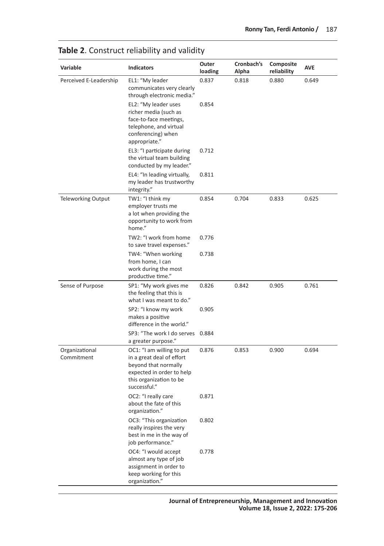| Variable                     | <b>Indicators</b>                                                                                                                                      | Outer<br>loading | Cronbach's<br>Alpha | Composite<br>reliability | <b>AVE</b> |
|------------------------------|--------------------------------------------------------------------------------------------------------------------------------------------------------|------------------|---------------------|--------------------------|------------|
| Perceived E-Leadership       | EL1: "My leader<br>communicates very clearly<br>through electronic media."                                                                             | 0.837            | 0.818               | 0.880                    | 0.649      |
|                              | EL2: "My leader uses<br>richer media (such as<br>face-to-face meetings,<br>telephone, and virtual<br>conferencing) when<br>appropriate."               | 0.854            |                     |                          |            |
|                              | EL3: "I participate during<br>the virtual team building<br>conducted by my leader."                                                                    | 0.712            |                     |                          |            |
|                              | EL4: "In leading virtually,<br>my leader has trustworthy<br>integrity."                                                                                | 0.811            |                     |                          |            |
| <b>Teleworking Output</b>    | TW1: "I think my<br>employer trusts me<br>a lot when providing the<br>opportunity to work from<br>home."                                               | 0.854            | 0.704               | 0.833                    | 0.625      |
|                              | TW2: "I work from home<br>to save travel expenses."                                                                                                    | 0.776            |                     |                          |            |
|                              | TW4: "When working<br>from home, I can<br>work during the most<br>productive time."                                                                    | 0.738            |                     |                          |            |
| Sense of Purpose             | SP1: "My work gives me<br>the feeling that this is<br>what I was meant to do."                                                                         | 0.826            | 0.842               | 0.905                    | 0.761      |
|                              | SP2: "I know my work<br>makes a positive<br>difference in the world."                                                                                  | 0.905            |                     |                          |            |
|                              | SP3: "The work I do serves 0.884<br>a greater purpose."                                                                                                |                  |                     |                          |            |
| Organizational<br>Commitment | OC1: "I am willing to put<br>in a great deal of effort<br>beyond that normally<br>expected in order to help<br>this organization to be<br>successful." | 0.876            | 0.853               | 0.900                    | 0.694      |
|                              | OC2: "I really care<br>about the fate of this<br>organization."                                                                                        | 0.871            |                     |                          |            |
|                              | OC3: "This organization<br>really inspires the very<br>best in me in the way of<br>job performance."                                                   | 0.802            |                     |                          |            |
|                              | OC4: "I would accept<br>almost any type of job<br>assignment in order to<br>keep working for this<br>organization."                                    | 0.778            |                     |                          |            |

# **Table 2**. Construct reliability and validity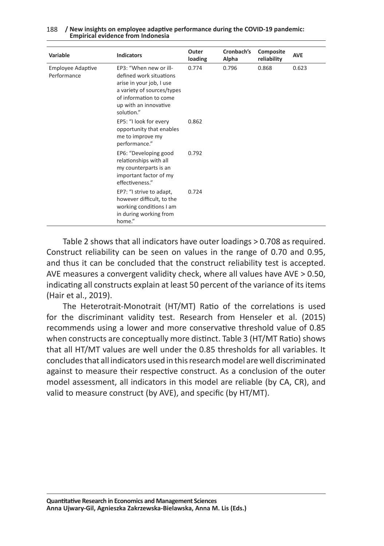| Variable                                | <b>Indicators</b>                                                                                                                                                            | Outer<br>loading | Cronbach's<br>Alpha | Composite<br>reliability | <b>AVE</b> |
|-----------------------------------------|------------------------------------------------------------------------------------------------------------------------------------------------------------------------------|------------------|---------------------|--------------------------|------------|
| <b>Employee Adaptive</b><br>Performance | EP3: "When new or ill-<br>defined work situations<br>arise in your job, I use<br>a variety of sources/types<br>of information to come<br>up with an innovative<br>solution." | 0.774            | 0.796               | 0.868                    | 0.623      |
|                                         | EP5: "I look for every<br>opportunity that enables<br>me to improve my<br>performance."                                                                                      | 0.862            |                     |                          |            |
|                                         | EP6: "Developing good<br>relationships with all<br>my counterparts is an<br>important factor of my<br>effectiveness."                                                        | 0.792            |                     |                          |            |
|                                         | EP7: "I strive to adapt,<br>however difficult, to the<br>working conditions I am<br>in during working from<br>home."                                                         | 0.724            |                     |                          |            |

188 **/ New insights on employee adaptive performance during the COVID-19 pandemic: Empirical evidence from Indonesia**

Table 2 shows that all indicators have outer loadings > 0.708 as required. Construct reliability can be seen on values in the range of 0.70 and 0.95, and thus it can be concluded that the construct reliability test is accepted. AVE measures a convergent validity check, where all values have AVE > 0.50, indicating all constructs explain at least 50 percent of the variance of its items (Hair et al., 2019).

The Heterotrait-Monotrait (HT/MT) Ratio of the correlations is used for the discriminant validity test. Research from Henseler et al. (2015) recommends using a lower and more conservative threshold value of 0.85 when constructs are conceptually more distinct. Table 3 (HT/MT Ratio) shows that all HT/MT values are well under the 0.85 thresholds for all variables. It concludes that all indicators used in this research model are well discriminated against to measure their respective construct. As a conclusion of the outer model assessment, all indicators in this model are reliable (by CA, CR), and valid to measure construct (by AVE), and specific (by HT/MT).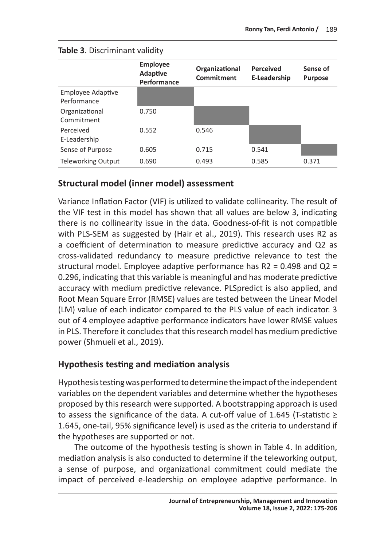|                                         | <b>Employee</b><br>Adaptive<br>Performance | Organizational<br>Commitment | <b>Perceived</b><br>E-Leadership | Sense of<br><b>Purpose</b> |
|-----------------------------------------|--------------------------------------------|------------------------------|----------------------------------|----------------------------|
| <b>Employee Adaptive</b><br>Performance |                                            |                              |                                  |                            |
| Organizational<br>Commitment            | 0.750                                      |                              |                                  |                            |
| Perceived<br>E-Leadership               | 0.552                                      | 0.546                        |                                  |                            |
| Sense of Purpose                        | 0.605                                      | 0.715                        | 0.541                            |                            |
| <b>Teleworking Output</b>               | 0.690                                      | 0.493                        | 0.585                            | 0.371                      |

#### **Table 3**. Discriminant validity

### **Structural model (inner model) assessment**

Variance Inflation Factor (VIF) is utilized to validate collinearity. The result of the VIF test in this model has shown that all values are below 3, indicating there is no collinearity issue in the data. Goodness-of-fit is not compatible with PLS-SEM as suggested by (Hair et al., 2019). This research uses R2 as a coefficient of determination to measure predictive accuracy and Q2 as cross-validated redundancy to measure predictive relevance to test the structural model. Employee adaptive performance has R2 = 0.498 and Q2 = 0.296, indicating that this variable is meaningful and has moderate predictive accuracy with medium predictive relevance. PLSpredict is also applied, and Root Mean Square Error (RMSE) values are tested between the Linear Model (LM) value of each indicator compared to the PLS value of each indicator. 3 out of 4 employee adaptive performance indicators have lower RMSE values in PLS. Therefore it concludes that this research model has medium predictive power (Shmueli et al., 2019).

# **Hypothesis testing and mediation analysis**

Hypothesis testing was performed to determine the impact of the independent variables on the dependent variables and determine whether the hypotheses proposed by this research were supported. A bootstrapping approach is used to assess the significance of the data. A cut-off value of 1.645 (T-statistic ≥ 1.645, one-tail, 95% significance level) is used as the criteria to understand if the hypotheses are supported or not.

The outcome of the hypothesis testing is shown in Table 4. In addition, mediation analysis is also conducted to determine if the teleworking output, a sense of purpose, and organizational commitment could mediate the impact of perceived e-leadership on employee adaptive performance. In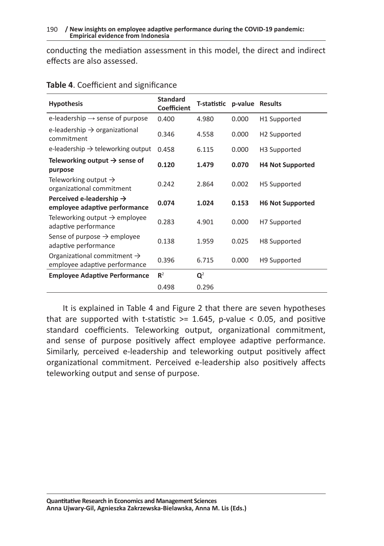conducting the mediation assessment in this model, the direct and indirect effects are also assessed.

| <b>Hypothesis</b>                                                        | <b>Standard</b><br><b>Coefficient</b> | T-statistic    | p-value | <b>Results</b>           |
|--------------------------------------------------------------------------|---------------------------------------|----------------|---------|--------------------------|
| e-leadership $\rightarrow$ sense of purpose                              | 0.400                                 | 4.980          | 0.000   | H1 Supported             |
| e-leadership $\rightarrow$ organizational<br>commitment                  | 0.346                                 | 4.558          | 0.000   | H <sub>2</sub> Supported |
| e-leadership $\rightarrow$ teleworking output                            | 0.458                                 | 6.115          | 0.000   | H <sub>3</sub> Supported |
| Teleworking output $\rightarrow$ sense of<br>purpose                     | 0.120                                 | 1.479          | 0.070   | <b>H4 Not Supported</b>  |
| Teleworking output $\rightarrow$<br>organizational commitment            | 0.242                                 | 2.864          | 0.002   | H <sub>5</sub> Supported |
| Perceived e-leadership $\rightarrow$<br>employee adaptive performance    | 0.074                                 | 1.024          | 0.153   | <b>H6 Not Supported</b>  |
| Teleworking output $\rightarrow$ employee<br>adaptive performance        | 0.283                                 | 4.901          | 0.000   | H7 Supported             |
| Sense of purpose $\rightarrow$ employee<br>adaptive performance          | 0.138                                 | 1.959          | 0.025   | H <sub>8</sub> Supported |
| Organizational commitment $\rightarrow$<br>employee adaptive performance | 0.396                                 | 6.715          | 0.000   | H9 Supported             |
| <b>Employee Adaptive Performance</b>                                     | $\mathbb{R}^2$                        | $\mathbf{Q}^2$ |         |                          |
|                                                                          | 0.498                                 | 0.296          |         |                          |

### **Table 4**. Coefficient and significance

It is explained in Table 4 and Figure 2 that there are seven hypotheses that are supported with t-statistic  $>= 1.645$ , p-value  $< 0.05$ , and positive standard coefficients. Teleworking output, organizational commitment, and sense of purpose positively affect employee adaptive performance. Similarly, perceived e-leadership and teleworking output positively affect organizational commitment. Perceived e-leadership also positively affects teleworking output and sense of purpose.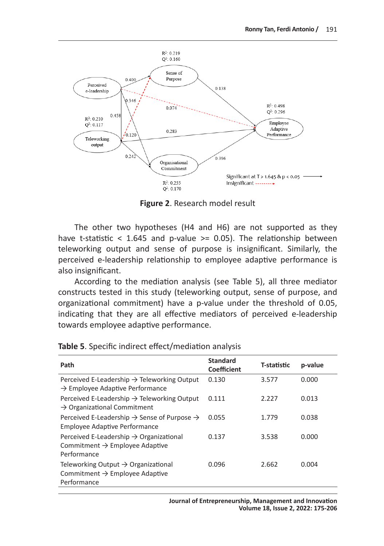

**Figure 2**. Research model result

The other two hypotheses (H4 and H6) are not supported as they have t-statistic < 1.645 and p-value >= 0.05). The relationship between teleworking output and sense of purpose is insignificant. Similarly, the perceived e-leadership relationship to employee adaptive performance is also insignificant.

According to the mediation analysis (see Table 5), all three mediator constructs tested in this study (teleworking output, sense of purpose, and organizational commitment) have a p-value under the threshold of 0.05, indicating that they are all effective mediators of perceived e-leadership towards employee adaptive performance.

| Path                                                                                                             | <b>Standard</b><br><b>Coefficient</b> | T-statistic | p-value |
|------------------------------------------------------------------------------------------------------------------|---------------------------------------|-------------|---------|
| Perceived E-Leadership $\rightarrow$ Teleworking Output<br>$\rightarrow$ Employee Adaptive Performance           | 0.130                                 | 3.577       | 0.000   |
| Perceived E-Leadership $\rightarrow$ Teleworking Output<br>$\rightarrow$ Organizational Commitment               | 0.111                                 | 2.227       | 0.013   |
| Perceived E-Leadership $\rightarrow$ Sense of Purpose $\rightarrow$<br>Employee Adaptive Performance             | 0.055                                 | 1.779       | 0.038   |
| Perceived E-Leadership $\rightarrow$ Organizational<br>Commitment $\rightarrow$ Employee Adaptive<br>Performance | 0.137                                 | 3.538       | 0.000   |
| Teleworking Output $\rightarrow$ Organizational<br>Commitment $\rightarrow$ Employee Adaptive<br>Performance     | 0.096                                 | 2.662       | 0.004   |

|  |  |  |  | Table 5. Specific indirect effect/mediation analysis |  |
|--|--|--|--|------------------------------------------------------|--|
|--|--|--|--|------------------------------------------------------|--|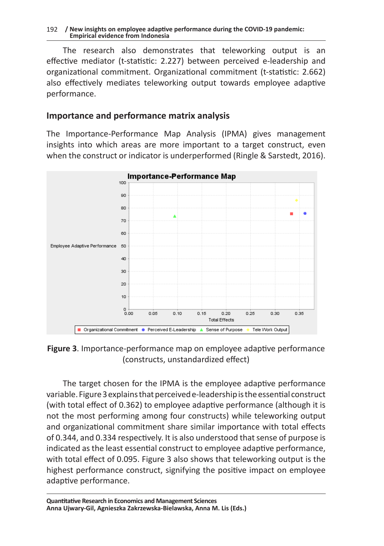The research also demonstrates that teleworking output is an effective mediator (t-statistic: 2.227) between perceived e-leadership and organizational commitment. Organizational commitment (t-statistic: 2.662) also effectively mediates teleworking output towards employee adaptive performance.

# **Importance and performance matrix analysis**

The Importance-Performance Map Analysis (IPMA) gives management insights into which areas are more important to a target construct, even when the construct or indicator is underperformed (Ringle & Sarstedt, 2016).



**Figure 3**. Importance-performance map on employee adaptive performance (constructs, unstandardized effect)

The target chosen for the IPMA is the employee adaptive performance variable. Figure 3 explains that perceived e-leadership is the essential construct (with total effect of 0.362) to employee adaptive performance (although it is not the most performing among four constructs) while teleworking output and organizational commitment share similar importance with total effects of 0.344, and 0.334 respectively. It is also understood that sense of purpose is indicated as the least essential construct to employee adaptive performance, with total effect of 0.095. Figure 3 also shows that teleworking output is the highest performance construct, signifying the positive impact on employee adaptive performance.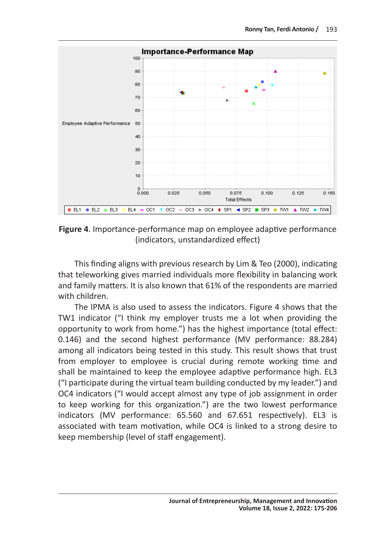

**Figure 4**. Importance-performance map on employee adaptive performance (indicators, unstandardized effect)

This finding aligns with previous research by Lim & Teo (2000), indicating that teleworking gives married individuals more flexibility in balancing work and family matters. It is also known that 61% of the respondents are married with children.

The IPMA is also used to assess the indicators. Figure 4 shows that the TW1 indicator ("I think my employer trusts me a lot when providing the opportunity to work from home.") has the highest importance (total effect: 0.146) and the second highest performance (MV performance: 88.284) among all indicators being tested in this study. This result shows that trust from employer to employee is crucial during remote working time and shall be maintained to keep the employee adaptive performance high. EL3 ("I participate during the virtual team building conducted by my leader.") and OC4 indicators ("I would accept almost any type of job assignment in order to keep working for this organization.") are the two lowest performance indicators (MV performance: 65.560 and 67.651 respectively). EL3 is associated with team motivation, while OC4 is linked to a strong desire to keep membership (level of staff engagement).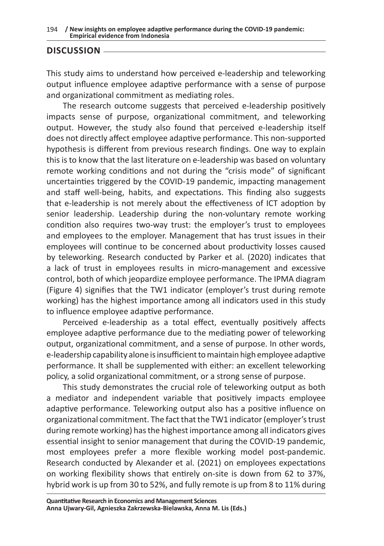# **DISCUSSION**

This study aims to understand how perceived e-leadership and teleworking output influence employee adaptive performance with a sense of purpose and organizational commitment as mediating roles.

The research outcome suggests that perceived e-leadership positively impacts sense of purpose, organizational commitment, and teleworking output. However, the study also found that perceived e-leadership itself does not directly affect employee adaptive performance. This non-supported hypothesis is different from previous research findings. One way to explain this is to know that the last literature on e-leadership was based on voluntary remote working conditions and not during the "crisis mode" of significant uncertainties triggered by the COVID-19 pandemic, impacting management and staff well-being, habits, and expectations. This finding also suggests that e-leadership is not merely about the effectiveness of ICT adoption by senior leadership. Leadership during the non-voluntary remote working condition also requires two-way trust: the employer's trust to employees and employees to the employer. Management that has trust issues in their employees will continue to be concerned about productivity losses caused by teleworking. Research conducted by Parker et al. (2020) indicates that a lack of trust in employees results in micro-management and excessive control, both of which jeopardize employee performance. The IPMA diagram (Figure 4) signifies that the TW1 indicator (employer's trust during remote working) has the highest importance among all indicators used in this study to influence employee adaptive performance.

Perceived e-leadership as a total effect, eventually positively affects employee adaptive performance due to the mediating power of teleworking output, organizational commitment, and a sense of purpose. In other words, e-leadership capability alone is insufficient to maintain high employee adaptive performance. It shall be supplemented with either: an excellent teleworking policy, a solid organizational commitment, or a strong sense of purpose.

This study demonstrates the crucial role of teleworking output as both a mediator and independent variable that positively impacts employee adaptive performance. Teleworking output also has a positive influence on organizational commitment. The fact that the TW1 indicator (employer's trust during remote working) has the highest importance among all indicators gives essential insight to senior management that during the COVID-19 pandemic, most employees prefer a more flexible working model post-pandemic. Research conducted by Alexander et al. (2021) on employees expectations on working flexibility shows that entirely on-site is down from 62 to 37%, hybrid work is up from 30 to 52%, and fully remote is up from 8 to 11% during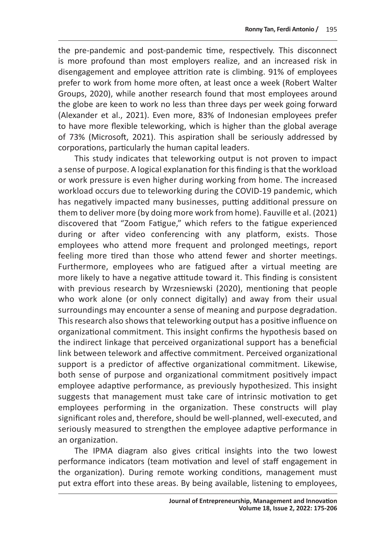the pre-pandemic and post-pandemic time, respectively. This disconnect is more profound than most employers realize, and an increased risk in disengagement and employee attrition rate is climbing. 91% of employees prefer to work from home more often, at least once a week (Robert Walter Groups, 2020), while another research found that most employees around the globe are keen to work no less than three days per week going forward (Alexander et al., 2021). Even more, 83% of Indonesian employees prefer to have more flexible teleworking, which is higher than the global average of 73% (Microsoft, 2021). This aspiration shall be seriously addressed by corporations, particularly the human capital leaders.

This study indicates that teleworking output is not proven to impact a sense of purpose. A logical explanation for this finding is that the workload or work pressure is even higher during working from home. The increased workload occurs due to teleworking during the COVID-19 pandemic, which has negatively impacted many businesses, putting additional pressure on them to deliver more (by doing more work from home). Fauville et al. (2021) discovered that "Zoom Fatigue," which refers to the fatigue experienced during or after video conferencing with any platform, exists. Those employees who attend more frequent and prolonged meetings, report feeling more tired than those who attend fewer and shorter meetings. Furthermore, employees who are fatigued after a virtual meeting are more likely to have a negative attitude toward it. This finding is consistent with previous research by Wrzesniewski (2020), mentioning that people who work alone (or only connect digitally) and away from their usual surroundings may encounter a sense of meaning and purpose degradation. This research also shows that teleworking output has a positive influence on organizational commitment. This insight confirms the hypothesis based on the indirect linkage that perceived organizational support has a beneficial link between telework and affective commitment. Perceived organizational support is a predictor of affective organizational commitment. Likewise, both sense of purpose and organizational commitment positively impact employee adaptive performance, as previously hypothesized. This insight suggests that management must take care of intrinsic motivation to get employees performing in the organization. These constructs will play significant roles and, therefore, should be well-planned, well-executed, and seriously measured to strengthen the employee adaptive performance in an organization.

The IPMA diagram also gives critical insights into the two lowest performance indicators (team motivation and level of staff engagement in the organization). During remote working conditions, management must put extra effort into these areas. By being available, listening to employees,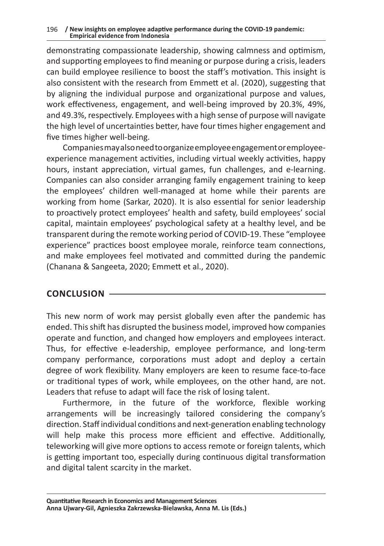#### 196 **/ New insights on employee adaptive performance during the COVID-19 pandemic: Empirical evidence from Indonesia**

demonstrating compassionate leadership, showing calmness and optimism, and supporting employees to find meaning or purpose during a crisis, leaders can build employee resilience to boost the staff's motivation. This insight is also consistent with the research from Emmett et al. (2020), suggesting that by aligning the individual purpose and organizational purpose and values, work effectiveness, engagement, and well-being improved by 20.3%, 49%, and 49.3%, respectively. Employees with a high sense of purpose will navigate the high level of uncertainties better, have four times higher engagement and five times higher well-being.

Companies may also need to organize employee engagement or employeeexperience management activities, including virtual weekly activities, happy hours, instant appreciation, virtual games, fun challenges, and e-learning. Companies can also consider arranging family engagement training to keep the employees' children well-managed at home while their parents are working from home (Sarkar, 2020). It is also essential for senior leadership to proactively protect employees' health and safety, build employees' social capital, maintain employees' psychological safety at a healthy level, and be transparent during the remote working period of COVID-19. These "employee experience" practices boost employee morale, reinforce team connections, and make employees feel motivated and committed during the pandemic (Chanana & Sangeeta, 2020; Emmett et al., 2020).

# **CONCLUSION**

This new norm of work may persist globally even after the pandemic has ended. This shift has disrupted the business model, improved how companies operate and function, and changed how employers and employees interact. Thus, for effective e-leadership, employee performance, and long-term company performance, corporations must adopt and deploy a certain degree of work flexibility. Many employers are keen to resume face-to-face or traditional types of work, while employees, on the other hand, are not. Leaders that refuse to adapt will face the risk of losing talent.

Furthermore, in the future of the workforce, flexible working arrangements will be increasingly tailored considering the company's direction. Staff individual conditions and next-generation enabling technology will help make this process more efficient and effective. Additionally, teleworking will give more options to access remote or foreign talents, which is getting important too, especially during continuous digital transformation and digital talent scarcity in the market.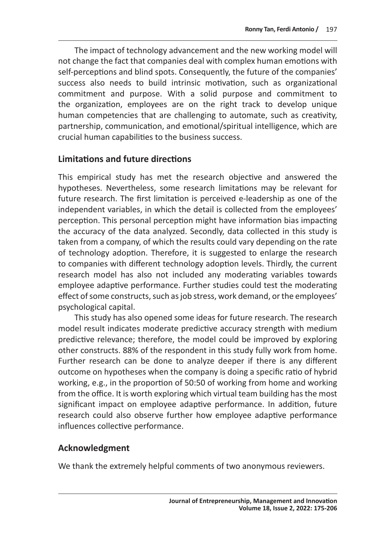The impact of technology advancement and the new working model will not change the fact that companies deal with complex human emotions with self-perceptions and blind spots. Consequently, the future of the companies' success also needs to build intrinsic motivation, such as organizational commitment and purpose. With a solid purpose and commitment to the organization, employees are on the right track to develop unique human competencies that are challenging to automate, such as creativity, partnership, communication, and emotional/spiritual intelligence, which are crucial human capabilities to the business success.

# **Limitations and future directions**

This empirical study has met the research objective and answered the hypotheses. Nevertheless, some research limitations may be relevant for future research. The first limitation is perceived e-leadership as one of the independent variables, in which the detail is collected from the employees' perception. This personal perception might have information bias impacting the accuracy of the data analyzed. Secondly, data collected in this study is taken from a company, of which the results could vary depending on the rate of technology adoption. Therefore, it is suggested to enlarge the research to companies with different technology adoption levels. Thirdly, the current research model has also not included any moderating variables towards employee adaptive performance. Further studies could test the moderating effect of some constructs, such as job stress, work demand, or the employees' psychological capital.

This study has also opened some ideas for future research. The research model result indicates moderate predictive accuracy strength with medium predictive relevance; therefore, the model could be improved by exploring other constructs. 88% of the respondent in this study fully work from home. Further research can be done to analyze deeper if there is any different outcome on hypotheses when the company is doing a specific ratio of hybrid working, e.g., in the proportion of 50:50 of working from home and working from the office. It is worth exploring which virtual team building has the most significant impact on employee adaptive performance. In addition, future research could also observe further how employee adaptive performance influences collective performance.

# **Acknowledgment**

We thank the extremely helpful comments of two anonymous reviewers.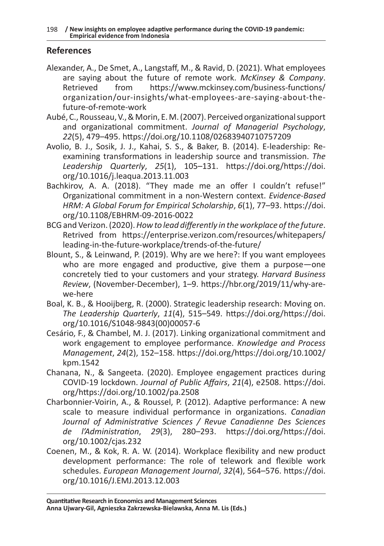# **References**

- Alexander, A., De Smet, A., Langstaff, M., & Ravid, D. (2021). What employees are saying about the future of remote work. *McKinsey & Company*. Retrieved from https://www.mckinsey.com/business-functions/ organization/our-insights/what-employees-are-saying-about-thefuture-of-remote-work
- Aubé, C., Rousseau, V., & Morin, E. M. (2007). Perceived organizational support and organizational commitment. *Journal of Managerial Psychology*, *22*(5), 479–495. https://doi.org/10.1108/02683940710757209
- Avolio, B. J., Sosik, J. J., Kahai, S. S., & Baker, B. (2014). E-leadership: Reexamining transformations in leadership source and transmission. *The Leadership Quarterly*, *25*(1), 105–131. https://doi.org/https://doi. org/10.1016/j.leaqua.2013.11.003
- Bachkirov, A. A. (2018). "They made me an offer I couldn't refuse!" Organizational commitment in a non-Western context. *Evidence-Based HRM: A Global Forum for Empirical Scholarship*, *6*(1), 77–93. https://doi. org/10.1108/EBHRM-09-2016-0022
- BCG and Verizon. (2020). *How to lead differently in the workplace of the future*. Retrived from https://enterprise.verizon.com/resources/whitepapers/ leading-in-the-future-workplace/trends-of-the-future/
- Blount, S., & Leinwand, P. (2019). Why are we here?: If you want employees who are more engaged and productive, give them a purpose—one concretely tied to your customers and your strategy. *Harvard Business Review*, (November-December), 1–9. https://hbr.org/2019/11/why-arewe-here
- Boal, K. B., & Hooijberg, R. (2000). Strategic leadership research: Moving on. *The Leadership Quarterly*, *11*(4), 515–549. https://doi.org/https://doi. org/10.1016/S1048-9843(00)00057-6
- Cesário, F., & Chambel, M. J. (2017). Linking organizational commitment and work engagement to employee performance. *Knowledge and Process Management*, *24*(2), 152–158. https://doi.org/https://doi.org/10.1002/ kpm.1542
- Chanana, N., & Sangeeta. (2020). Employee engagement practices during COVID-19 lockdown. *Journal of Public Affairs*, *21*(4), e2508. https://doi. org/https://doi.org/10.1002/pa.2508
- Charbonnier-Voirin, A., & Roussel, P. (2012). Adaptive performance: A new scale to measure individual performance in organizations. *Canadian Journal of Administrative Sciences / Revue Canadienne Des Sciences de l'Administration*, *29*(3), 280–293. https://doi.org/https://doi. org/10.1002/cjas.232
- Coenen, M., & Kok, R. A. W. (2014). Workplace flexibility and new product development performance: The role of telework and flexible work schedules. *European Management Journal*, *32*(4), 564–576. https://doi. org/10.1016/J.EMJ.2013.12.003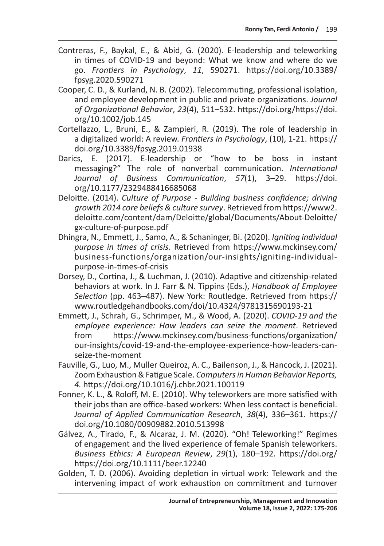- Contreras, F., Baykal, E., & Abid, G. (2020). E-leadership and teleworking in times of COVID-19 and beyond: What we know and where do we go. *Frontiers in Psychology*, *11*, 590271. https://doi.org/10.3389/ fpsyg.2020.590271
- Cooper, C. D., & Kurland, N. B. (2002). Telecommuting, professional isolation, and employee development in public and private organizations. *Journal of Organizational Behavior*, *23*(4), 511–532. https://doi.org/https://doi. org/10.1002/job.145
- Cortellazzo, L., Bruni, E., & Zampieri, R. (2019). The role of leadership in a digitalized world: A review. *Frontiers in Psychology*, (10), 1-21. https:// doi.org/10.3389/fpsyg.2019.01938
- Darics, E. (2017). E-leadership or "how to be boss in instant messaging?" The role of nonverbal communication. *International Journal of Business Communication*, *57*(1), 3–29. https://doi. org/10.1177/2329488416685068
- Deloitte. (2014). *Culture of Purpose Building business confidence; driving growth 2014 core beliefs & culture survey*. Retrieved from https://www2. deloitte.com/content/dam/Deloitte/global/Documents/About-Deloitte/ gx-culture-of-purpose.pdf
- Dhingra, N., Emmett, J., Samo, A., & Schaninger, Bi. (2020). *Igniting individual purpose in times of crisis*. Retrieved from https://www.mckinsey.com/ business-functions/organization/our-insights/igniting-individualpurpose-in-times-of-crisis
- Dorsey, D., Cortina, J., & Luchman, J. (2010). Adaptive and citizenship-related behaviors at work. In J. Farr & N. Tippins (Eds.), *Handbook of Employee Selection* (pp. 463–487). New York: Routledge. Retrieved from https:// www.routledgehandbooks.com/doi/10.4324/9781315690193-21
- Emmett, J., Schrah, G., Schrimper, M., & Wood, A. (2020). *COVID-19 and the employee experience: How leaders can seize the moment*. Retrieved from https://www.mckinsey.com/business-functions/organization/ our-insights/covid-19-and-the-employee-experience-how-leaders-canseize-the-moment
- Fauville, G., Luo, M., Muller Queiroz, A. C., Bailenson, J., & Hancock, J. (2021). Zoom Exhaustion & Fatigue Scale. *Computers in Human Behavior Reports, 4.* https://doi.org/10.1016/j.chbr.2021.100119
- Fonner, K. L., & Roloff, M. E. (2010). Why teleworkers are more satisfied with their jobs than are office-based workers: When less contact is beneficial. *Journal of Applied Communication Research*, *38*(4), 336–361. https:// doi.org/10.1080/00909882.2010.513998
- Gálvez, A., Tirado, F., & Alcaraz, J. M. (2020). "Oh! Teleworking!" Regimes of engagement and the lived experience of female Spanish teleworkers. *Business Ethics: A European Review*, *29*(1), 180–192. https://doi.org/ https://doi.org/10.1111/beer.12240
- Golden, T. D. (2006). Avoiding depletion in virtual work: Telework and the intervening impact of work exhaustion on commitment and turnover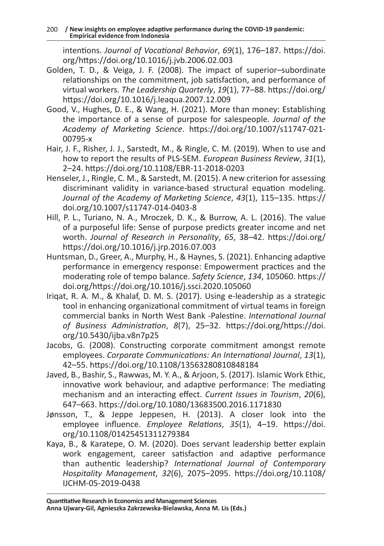intentions. *Journal of Vocational Behavior*, *69*(1), 176–187. https://doi. org/https://doi.org/10.1016/j.jvb.2006.02.003

- Golden, T. D., & Veiga, J. F. (2008). The impact of superior–subordinate relationships on the commitment, job satisfaction, and performance of virtual workers. *The Leadership Quarterly*, *19*(1), 77–88. https://doi.org/ https://doi.org/10.1016/j.leaqua.2007.12.009
- Good, V., Hughes, D. E., & Wang, H. (2021). More than money: Establishing the importance of a sense of purpose for salespeople. *Journal of the Academy of Marketing Science*. https://doi.org/10.1007/s11747-021- 00795-x
- Hair, J. F., Risher, J. J., Sarstedt, M., & Ringle, C. M. (2019). When to use and how to report the results of PLS-SEM. *European Business Review*, *31*(1), 2–24. https://doi.org/10.1108/EBR-11-2018-0203
- Henseler, J., Ringle, C. M., & Sarstedt, M. (2015). A new criterion for assessing discriminant validity in variance-based structural equation modeling. *Journal of the Academy of Marketing Science*, *43*(1), 115–135. https:// doi.org/10.1007/s11747-014-0403-8
- Hill, P. L., Turiano, N. A., Mroczek, D. K., & Burrow, A. L. (2016). The value of a purposeful life: Sense of purpose predicts greater income and net worth. *Journal of Research in Personality*, *65*, 38–42. https://doi.org/ https://doi.org/10.1016/j.jrp.2016.07.003
- Huntsman, D., Greer, A., Murphy, H., & Haynes, S. (2021). Enhancing adaptive performance in emergency response: Empowerment practices and the moderating role of tempo balance. *Safety Science*, *134*, 105060. https:// doi.org/https://doi.org/10.1016/j.ssci.2020.105060
- Iriqat, R. A. M., & Khalaf, D. M. S. (2017). Using e-leadership as a strategic tool in enhancing organizational commitment of virtual teams in foreign commercial banks in North West Bank -Palestine. *International Journal of Business Administration*, *8*(7), 25–32. https://doi.org/https://doi. org/10.5430/ijba.v8n7p25
- Jacobs, G. (2008). Constructing corporate commitment amongst remote employees. *Corporate Communications: An International Journal*, *13*(1), 42–55. https://doi.org/10.1108/13563280810848184
- Javed, B., Bashir, S., Rawwas, M. Y. A., & Arjoon, S. (2017). Islamic Work Ethic, innovative work behaviour, and adaptive performance: The mediating mechanism and an interacting effect. *Current Issues in Tourism*, *20*(6), 647–663. https://doi.org/10.1080/13683500.2016.1171830
- Jønsson, T., & Jeppe Jeppesen, H. (2013). A closer look into the employee influence. *Employee Relations*, *35*(1), 4–19. https://doi. org/10.1108/01425451311279384
- Kaya, B., & Karatepe, O. M. (2020). Does servant leadership better explain work engagement, career satisfaction and adaptive performance than authentic leadership? *International Journal of Contemporary Hospitality Management*, *32*(6), 2075–2095. https://doi.org/10.1108/ IJCHM-05-2019-0438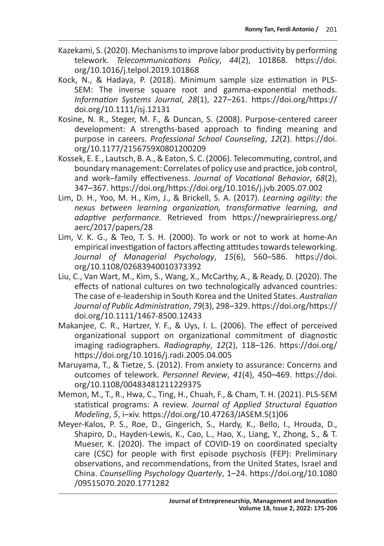- Kazekami, S. (2020). Mechanisms to improve labor productivity by performing telework. *Telecommunications Policy*, *44*(2), 101868. https://doi. org/10.1016/j.telpol.2019.101868
- Kock, N., & Hadaya, P. (2018). Minimum sample size estimation in PLS-SEM: The inverse square root and gamma-exponential methods. *Information Systems Journal*, *28*(1), 227–261. https://doi.org/https:// doi.org/10.1111/isj.12131
- Kosine, N. R., Steger, M. F., & Duncan, S. (2008). Purpose-centered career development: A strengths-based approach to finding meaning and purpose in careers. *Professional School Counseling*, *12*(2). https://doi. org/10.1177/2156759X0801200209
- Kossek, E. E., Lautsch, B. A., & Eaton, S. C. (2006). Telecommuting, control, and boundary management: Correlates of policy use and practice, job control, and work–family effectiveness. *Journal of Vocational Behavior*, *68*(2), 347–367. https://doi.org/https://doi.org/10.1016/j.jvb.2005.07.002
- Lim, D. H., Yoo, M. H., Kim, J., & Brickell, S. A. (2017). *Learning agility: the nexus between learning organization, transformative learning, and adaptive performance.* Retrieved from https://newprairiepress.org/ aerc/2017/papers/28
- Lim, V. K. G., & Teo, T. S. H. (2000). To work or not to work at home‐An empirical investigation of factors affecting attitudes towards teleworking. *Journal of Managerial Psychology*, *15*(6), 560–586. https://doi. org/10.1108/02683940010373392
- Liu, C., Van Wart, M., Kim, S., Wang, X., McCarthy, A., & Ready, D. (2020). The effects of national cultures on two technologically advanced countries: The case of e-leadership in South Korea and the United States. *Australian Journal of Public Administration*, *79*(3), 298–329. https://doi.org/https:// doi.org/10.1111/1467-8500.12433
- Makanjee, C. R., Hartzer, Y. F., & Uys, I. L. (2006). The effect of perceived organizational support on organizational commitment of diagnostic imaging radiographers. *Radiography*, *12*(2), 118–126. https://doi.org/ https://doi.org/10.1016/j.radi.2005.04.005
- Maruyama, T., & Tietze, S. (2012). From anxiety to assurance: Concerns and outcomes of telework. *Personnel Review*, *41*(4), 450–469. https://doi. org/10.1108/00483481211229375
- Memon, M., T., R., Hwa, C., Ting, H., Chuah, F., & Cham, T. H. (2021). PLS-SEM statistical programs: A review. *Journal of Applied Structural Equation Modeling*, *5*, i–xiv. https://doi.org/10.47263/JASEM.5(1)06
- Meyer-Kalos, P. S., Roe, D., Gingerich, S., Hardy, K., Bello, I., Hrouda, D., Shapiro, D., Hayden-Lewis, K., Cao, L., Hao, X., Liang, Y., Zhong, S., & T. Mueser, K. (2020). The impact of COVID-19 on coordinated specialty care (CSC) for people with first episode psychosis (FEP): Preliminary observations, and recommendations, from the United States, Israel and China. *Counselling Psychology Quarterly*, 1–24. https://doi.org/10.1080 /09515070.2020.1771282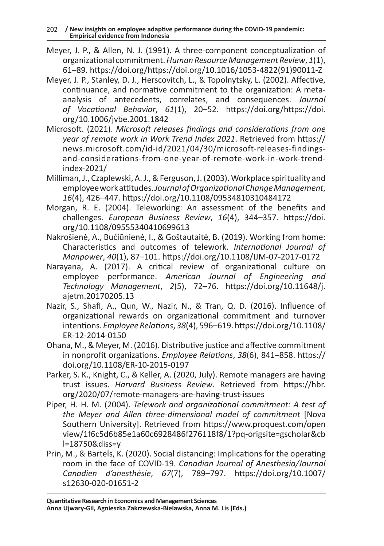- Meyer, J. P., & Allen, N. J. (1991). A three-component conceptualization of organizational commitment. *Human Resource Management Review*, *1*(1), 61–89. https://doi.org/https://doi.org/10.1016/1053-4822(91)90011-Z
- Meyer, J. P., Stanley, D. J., Herscovitch, L., & Topolnytsky, L. (2002). Affective, continuance, and normative commitment to the organization: A metaanalysis of antecedents, correlates, and consequences. *Journal of Vocational Behavior*, *61*(1), 20–52. https://doi.org/https://doi. org/10.1006/jvbe.2001.1842
- Microsoft. (2021). *Microsoft releases findings and considerations from one year of remote work in Work Trend Index 2021*. Retrieved from https:// news.microsoft.com/id-id/2021/04/30/microsoft-releases-findingsand-considerations-from-one-year-of-remote-work-in-work-trendindex-2021/
- Milliman, J., Czaplewski, A. J., & Ferguson, J. (2003). Workplace spirituality and employee work attitudes. *Journal of Organizational Change Management*, *16*(4), 426–447. https://doi.org/10.1108/09534810310484172
- Morgan, R. E. (2004). Teleworking: An assessment of the benefits and challenges. *European Business Review*, *16*(4), 344–357. https://doi. org/10.1108/09555340410699613
- Nakrošienė, A., Bučiūnienė, I., & Goštautaitė, B. (2019). Working from home: Characteristics and outcomes of telework. *International Journal of Manpower*, *40*(1), 87–101. https://doi.org/10.1108/IJM-07-2017-0172
- Narayana, A. (2017). A critical review of organizational culture on employee performance. *American Journal of Engineering and Technology Management*, *2*(5), 72–76. https://doi.org/10.11648/j. ajetm.20170205.13
- Nazir, S., Shafi, A., Qun, W., Nazir, N., & Tran, Q. D. (2016). Influence of organizational rewards on organizational commitment and turnover intentions. *Employee Relations*, *38*(4), 596–619. https://doi.org/10.1108/ ER-12-2014-0150
- Ohana, M., & Meyer, M. (2016). Distributive justice and affective commitment in nonprofit organizations. *Employee Relations*, *38*(6), 841–858. https:// doi.org/10.1108/ER-10-2015-0197
- Parker, S. K., Knight, C., & Keller, A. (2020, July). Remote managers are having trust issues. *Harvard Business Review*. Retrieved from https://hbr. org/2020/07/remote-managers-are-having-trust-issues
- Piper, H. H. M. (2004). *Telework and organizational commitment: A test of the Meyer and Allen three-dimensional model of commitment* [Nova Southern University]. Retrieved from https://www.proquest.com/open view/1f6c5d6b85e1a60c6928486f276118f8/1?pq-origsite=gscholar&cb l=18750&diss=y
- Prin, M., & Bartels, K. (2020). Social distancing: Implications for the operating room in the face of COVID-19. *Canadian Journal of Anesthesia/Journal Canadien d'anesthésie*, *67*(7), 789–797. https://doi.org/10.1007/ s12630-020-01651-2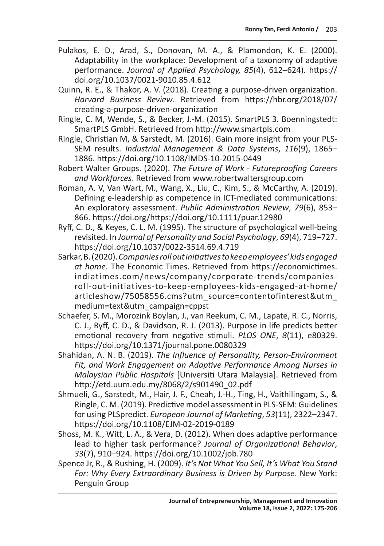- Pulakos, E. D., Arad, S., Donovan, M. A., & Plamondon, K. E. (2000). Adaptability in the workplace: Development of a taxonomy of adaptive performance. *Journal of Applied Psychology, 85*(4), 612–624). https:// doi.org/10.1037/0021-9010.85.4.612
- Quinn, R. E., & Thakor, A. V. (2018). Creating a purpose-driven organization. *Harvard Business Review*. Retrieved from https://hbr.org/2018/07/ creating-a-purpose-driven-organization
- Ringle, C. M, Wende, S., & Becker, J.-M. (2015). SmartPLS 3. Boenningstedt: SmartPLS GmbH. Retrieved from http://www.smartpls.com
- Ringle, Christian M, & Sarstedt, M. (2016). Gain more insight from your PLS-SEM results. *Industrial Management & Data Systems*, *116*(9), 1865– 1886. https://doi.org/10.1108/IMDS-10-2015-0449
- Robert Walter Groups. (2020). *The Future of Work Futureproofing Careers and Workforces*. Retrieved from www.robertwaltersgroup.com
- Roman, A. V, Van Wart, M., Wang, X., Liu, C., Kim, S., & McCarthy, A. (2019). Defining e-leadership as competence in ICT-mediated communications: An exploratory assessment. *Public Administration Review*, *79*(6), 853– 866. https://doi.org/https://doi.org/10.1111/puar.12980
- Ryff, C. D., & Keyes, C. L. M. (1995). The structure of psychological well-being revisited. In *Journal of Personality and Social Psychology*, *69*(4), 719–727. https://doi.org/10.1037/0022-3514.69.4.719
- Sarkar, B. (2020). *Companies roll out initiatives to keep employees' kids engaged at home*. The Economic Times. Retrieved from https://economictimes. indiatimes.com/news/company/corporate-trends/companiesroll-out-initiatives-to-keep-employees-kids-engaged-at-home/ articleshow/75058556.cms?utm\_source=contentofinterest&utm\_ medium=text&utm\_campaign=cppst
- Schaefer, S. M., Morozink Boylan, J., van Reekum, C. M., Lapate, R. C., Norris, C. J., Ryff, C. D., & Davidson, R. J. (2013). Purpose in life predicts better emotional recovery from negative stimuli. *PLOS ONE*, *8*(11), e80329. https://doi.org/10.1371/journal.pone.0080329
- Shahidan, A. N. B. (2019). *The Influence of Personality, Person-Environment Fit, and Work Engagement on Adaptive Performance Among Nurses in Malaysian Public Hospitals* [Universiti Utara Malaysia]. Retrieved from http://etd.uum.edu.my/8068/2/s901490\_02.pdf
- Shmueli, G., Sarstedt, M., Hair, J. F., Cheah, J.-H., Ting, H., Vaithilingam, S., & Ringle, C. M. (2019). Predictive model assessment in PLS-SEM: Guidelines for using PLSpredict. *European Journal of Marketing*, *53*(11), 2322–2347. https://doi.org/10.1108/EJM-02-2019-0189
- Shoss, M. K., Witt, L. A., & Vera, D. (2012). When does adaptive performance lead to higher task performance? *Journal of Organizational Behavior*, *33*(7), 910–924. https://doi.org/10.1002/job.780
- Spence Jr, R., & Rushing, H. (2009). *It's Not What You Sell, It's What You Stand For: Why Every Extraordinary Business is Driven by Purpose*. New York: Penguin Group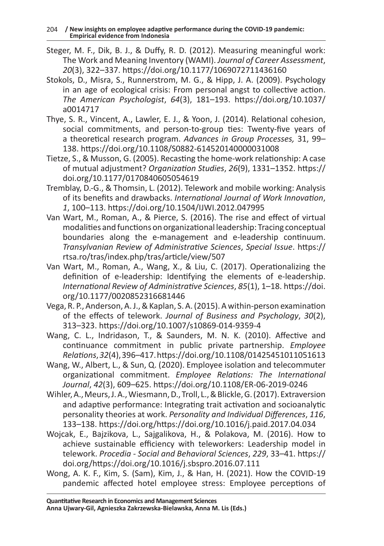- Steger, M. F., Dik, B. J., & Duffy, R. D. (2012). Measuring meaningful work: The Work and Meaning Inventory (WAMI). *Journal of Career Assessment*, *20*(3), 322–337. https://doi.org/10.1177/1069072711436160
- Stokols, D., Misra, S., Runnerstrom, M. G., & Hipp, J. A. (2009). Psychology in an age of ecological crisis: From personal angst to collective action. *The American Psychologist*, *64*(3), 181–193. https://doi.org/10.1037/ a0014717
- Thye, S. R., Vincent, A., Lawler, E. J., & Yoon, J. (2014). Relational cohesion, social commitments, and person-to-group ties: Twenty-five years of a theoretical research program. *Advances in Group Processes,* 31, 99– 138. https://doi.org/10.1108/S0882-614520140000031008
- Tietze, S., & Musson, G. (2005). Recasting the home-work relationship: A case of mutual adjustment? *Organization Studies*, *26*(9), 1331–1352. https:// doi.org/10.1177/0170840605054619
- Tremblay, D.-G., & Thomsin, L. (2012). Telework and mobile working: Analysis of its benefits and drawbacks. *International Journal of Work Innovation*, *1*, 100–113. https://doi.org/10.1504/IJWI.2012.047995
- Van Wart, M., Roman, A., & Pierce, S. (2016). The rise and effect of virtual modalities and functions on organizational leadership: Tracing conceptual boundaries along the e-management and e-leadership continuum. *Transylvanian Review of Administrative Sciences*, *Special Issue*. https:// rtsa.ro/tras/index.php/tras/article/view/507
- Van Wart, M., Roman, A., Wang, X., & Liu, C. (2017). Operationalizing the definition of e-leadership: Identifying the elements of e-leadership. *International Review of Administrative Sciences*, *85*(1), 1–18. https://doi. org/10.1177/0020852316681446
- Vega, R. P., Anderson, A. J., & Kaplan, S. A. (2015). A within-person examination of the effects of telework. *Journal of Business and Psychology*, *30*(2), 313–323. https://doi.org/10.1007/s10869-014-9359-4
- Wang, C. L., Indridason, T., & Saunders, M. N. K. (2010). Affective and continuance commitment in public private partnership. *Employee Relations*, *32*(4), 396–417. https://doi.org/10.1108/01425451011051613
- Wang, W., Albert, L., & Sun, Q. (2020). Employee isolation and telecommuter organizational commitment. *Employee Relations: The International Journal*, *42*(3), 609–625. https://doi.org/10.1108/ER-06-2019-0246
- Wihler, A., Meurs, J. A., Wiesmann, D., Troll, L., & Blickle, G. (2017). Extraversion and adaptive performance: Integrating trait activation and socioanalytic personality theories at work. *Personality and Individual Differences*, *116*, 133–138. https://doi.org/https://doi.org/10.1016/j.paid.2017.04.034
- Wojcak, E., Bajzikova, L., Sajgalikova, H., & Polakova, M. (2016). How to achieve sustainable efficiency with teleworkers: Leadership model in telework. *Procedia - Social and Behavioral Sciences*, *229*, 33–41. https:// doi.org/https://doi.org/10.1016/j.sbspro.2016.07.111
- Wong, A. K. F., Kim, S. (Sam), Kim, J., & Han, H. (2021). How the COVID-19 pandemic affected hotel employee stress: Employee perceptions of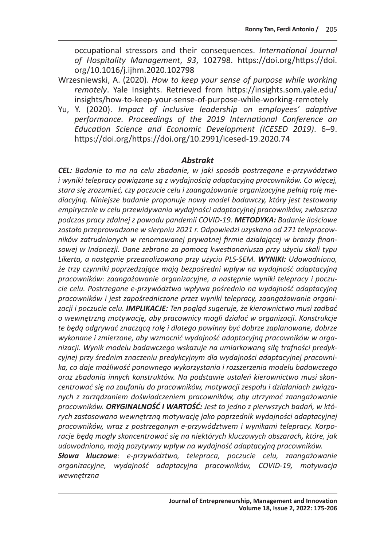occupational stressors and their consequences. *International Journal of Hospitality Management*, *93*, 102798. https://doi.org/https://doi. org/10.1016/j.ijhm.2020.102798

- Wrzesniewski, A. (2020). *How to keep your sense of purpose while working remotely*. Yale Insights. Retrieved from https://insights.som.yale.edu/ insights/how-to-keep-your-sense-of-purpose-while-working-remotely
- Yu, Y. (2020). *Impact of inclusive leadership on employees' adaptive performance. Proceedings of the 2019 International Conference on Education Science and Economic Development (ICESED 2019)*. 6–9. https://doi.org/https://doi.org/10.2991/icesed-19.2020.74

### *Abstrakt*

*CEL: Badanie to ma na celu zbadanie, w jaki sposób postrzegane e-przywództwo i wyniki telepracy powiązane są z wydajnością adaptacyjną pracowników. Co więcej, stara się zrozumieć, czy poczucie celu i zaangażowanie organizacyjne pełnią rolę mediacyjną. Niniejsze badanie proponuje nowy model badawczy, który jest testowany empirycznie w celu przewidywania wydajności adaptacyjnej pracowników, zwłaszcza podczas pracy zdalnej z powodu pandemii COVID-19. METODYKA: Badanie ilościowe zostało przeprowadzone w sierpniu 2021 r. Odpowiedzi uzyskano od 271 telepracowników zatrudnionych w renomowanej prywatnej firmie działającej w branży finansowej w Indonezji. Dane zebrano za pomocą kwestionariusza przy użyciu skali typu Likerta, a następnie przeanalizowano przy użyciu PLS-SEM. WYNIKI: Udowodniono, że trzy czynniki poprzedzające mają bezpośredni wpływ na wydajność adaptacyjną pracowników: zaangażowanie organizacyjne, a następnie wyniki telepracy i poczucie celu. Postrzegane e-przywództwo wpływa pośrednio na wydajność adaptacyjną pracowników i jest zapośredniczone przez wyniki telepracy, zaangażowanie organizacji i poczucie celu. IMPLIKACJE: Ten pogląd sugeruje, że kierownictwo musi zadbać o wewnętrzną motywację, aby pracownicy mogli działać w organizacji. Konstrukcje te będą odgrywać znaczącą rolę i dlatego powinny być dobrze zaplanowane, dobrze wykonane i zmierzone, aby wzmocnić wydajność adaptacyjną pracowników w organizacji. Wynik modelu badawczego wskazuje na umiarkowaną siłę trafności predykcyjnej przy średnim znaczeniu predykcyjnym dla wydajności adaptacyjnej pracownika, co daje możliwość ponownego wykorzystania i rozszerzenia modelu badawczego oraz zbadania innych konstruktów. Na podstawie ustaleń kierownictwo musi skoncentrować się na zaufaniu do pracowników, motywacji zespołu i działaniach związanych z zarządzaniem doświadczeniem pracowników, aby utrzymać zaangażowanie pracowników. ORYGINALNOŚĆ I WARTOŚĆ: Jest to jedno z pierwszych badań, w których zastosowano wewnętrzną motywację jako poprzednik wydajności adaptacyjnej pracowników, wraz z postrzeganym e-przywództwem i wynikami telepracy. Korporacje będą mogły skoncentrować się na niektórych kluczowych obszarach, które, jak udowodniono, mają pozytywny wpływ na wydajność adaptacyjną pracowników. Słowa kluczowe: e-przywództwo, telepraca, poczucie celu, zaangażowanie organizacyjne, wydajność adaptacyjna pracowników, COVID-19, motywacja wewnętrzna*